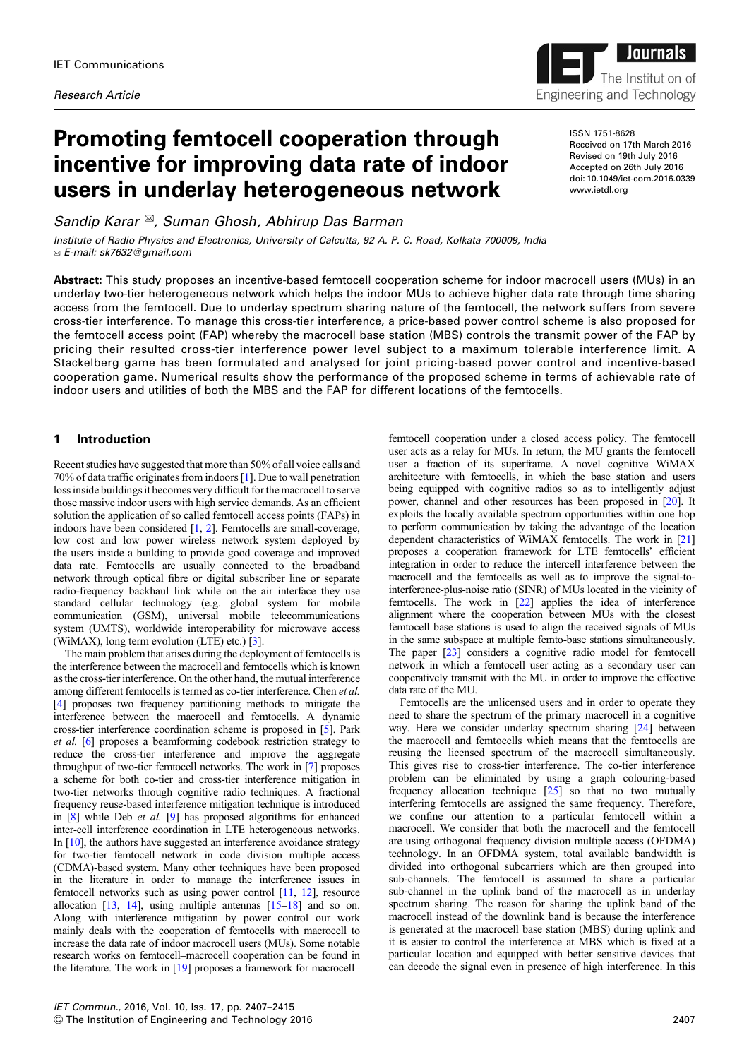# Promoting femtocell cooperation through incentive for improving data rate of indoor users in underlay heterogeneous network

Sandip Karar <sup>⊠</sup>, Suman Ghosh, Abhirup Das Barman

Institute of Radio Physics and Electronics, University of Calcutta, 92 A. P. C. Road, Kolkata 700009, India ✉ E-mail: sk7632@gmail.com

Abstract: This study proposes an incentive-based femtocell cooperation scheme for indoor macrocell users (MUs) in an underlay two-tier heterogeneous network which helps the indoor MUs to achieve higher data rate through time sharing access from the femtocell. Due to underlay spectrum sharing nature of the femtocell, the network suffers from severe cross-tier interference. To manage this cross-tier interference, a price-based power control scheme is also proposed for the femtocell access point (FAP) whereby the macrocell base station (MBS) controls the transmit power of the FAP by pricing their resulted cross-tier interference power level subject to a maximum tolerable interference limit. A Stackelberg game has been formulated and analysed for joint pricing-based power control and incentive-based cooperation game. Numerical results show the performance of the proposed scheme in terms of achievable rate of indoor users and utilities of both the MBS and the FAP for different locations of the femtocells.

# 1 Introduction

Recent studies have suggested that more than 50% of all voice calls and 70% of data traffic originates from indoors [1]. Due to wall penetration loss inside buildings it becomes very difficult for the macrocell to serve those massive indoor users with high service demands. As an efficient solution the application of so called femtocell access points (FAPs) in indoors have been considered [1, 2]. Femtocells are small-coverage, low cost and low power wireless network system deployed by the users inside a building to provide good coverage and improved data rate. Femtocells are usually connected to the broadband network through optical fibre or digital subscriber line or separate radio-frequency backhaul link while on the air interface they use standard cellular technology (e.g. global system for mobile communication (GSM), universal mobile telecommunications system (UMTS), worldwide interoperability for microwave access (WiMAX), long term evolution (LTE) etc.) [3].

The main problem that arises during the deployment of femtocells is the interference between the macrocell and femtocells which is known as the cross-tier interference. On the other hand, the mutual interference among different femtocells is termed as co-tier interference. Chen et al. [4] proposes two frequency partitioning methods to mitigate the interference between the macrocell and femtocells. A dynamic cross-tier interference coordination scheme is proposed in [5]. Park et al. [6] proposes a beamforming codebook restriction strategy to reduce the cross-tier interference and improve the aggregate throughput of two-tier femtocell networks. The work in [7] proposes a scheme for both co-tier and cross-tier interference mitigation in two-tier networks through cognitive radio techniques. A fractional frequency reuse-based interference mitigation technique is introduced in [8] while Deb et al. [9] has proposed algorithms for enhanced inter-cell interference coordination in LTE heterogeneous networks. In [10], the authors have suggested an interference avoidance strategy for two-tier femtocell network in code division multiple access (CDMA)-based system. Many other techniques have been proposed in the literature in order to manage the interference issues in femtocell networks such as using power control [11, 12], resource allocation  $[13, 14]$ , using multiple antennas  $[15-18]$  and so on. Along with interference mitigation by power control our work mainly deals with the cooperation of femtocells with macrocell to increase the data rate of indoor macrocell users (MUs). Some notable research works on femtocell–macrocell cooperation can be found in the literature. The work in [19] proposes a framework for macrocell–

femtocell cooperation under a closed access policy. The femtocell user acts as a relay for MUs. In return, the MU grants the femtocell user a fraction of its superframe. A novel cognitive WiMAX architecture with femtocells, in which the base station and users being equipped with cognitive radios so as to intelligently adjust power, channel and other resources has been proposed in [20]. It exploits the locally available spectrum opportunities within one hop to perform communication by taking the advantage of the location dependent characteristics of WiMAX femtocells. The work in [21] proposes a cooperation framework for LTE femtocells' efficient integration in order to reduce the intercell interference between the macrocell and the femtocells as well as to improve the signal-tointerference-plus-noise ratio (SINR) of MUs located in the vicinity of femtocells. The work in [22] applies the idea of interference alignment where the cooperation between MUs with the closest femtocell base stations is used to align the received signals of MUs in the same subspace at multiple femto-base stations simultaneously. The paper [23] considers a cognitive radio model for femtocell network in which a femtocell user acting as a secondary user can cooperatively transmit with the MU in order to improve the effective data rate of the MU.

Femtocells are the unlicensed users and in order to operate they need to share the spectrum of the primary macrocell in a cognitive way. Here we consider underlay spectrum sharing [24] between the macrocell and femtocells which means that the femtocells are reusing the licensed spectrum of the macrocell simultaneously. This gives rise to cross-tier interference. The co-tier interference problem can be eliminated by using a graph colouring-based frequency allocation technique [25] so that no two mutually interfering femtocells are assigned the same frequency. Therefore, we confine our attention to a particular femtocell within a macrocell. We consider that both the macrocell and the femtocell are using orthogonal frequency division multiple access (OFDMA) technology. In an OFDMA system, total available bandwidth is divided into orthogonal subcarriers which are then grouped into sub-channels. The femtocell is assumed to share a particular sub-channel in the uplink band of the macrocell as in underlay spectrum sharing. The reason for sharing the uplink band of the macrocell instead of the downlink band is because the interference is generated at the macrocell base station (MBS) during uplink and it is easier to control the interference at MBS which is fixed at a particular location and equipped with better sensitive devices that can decode the signal even in presence of high interference. In this

ISSN 1751-8628 Received on 17th March 2016 Revised on 19th July 2016 Accepted on 26th July 2016 doi: 10.1049/iet-com.2016.0339 www.ietdl.org

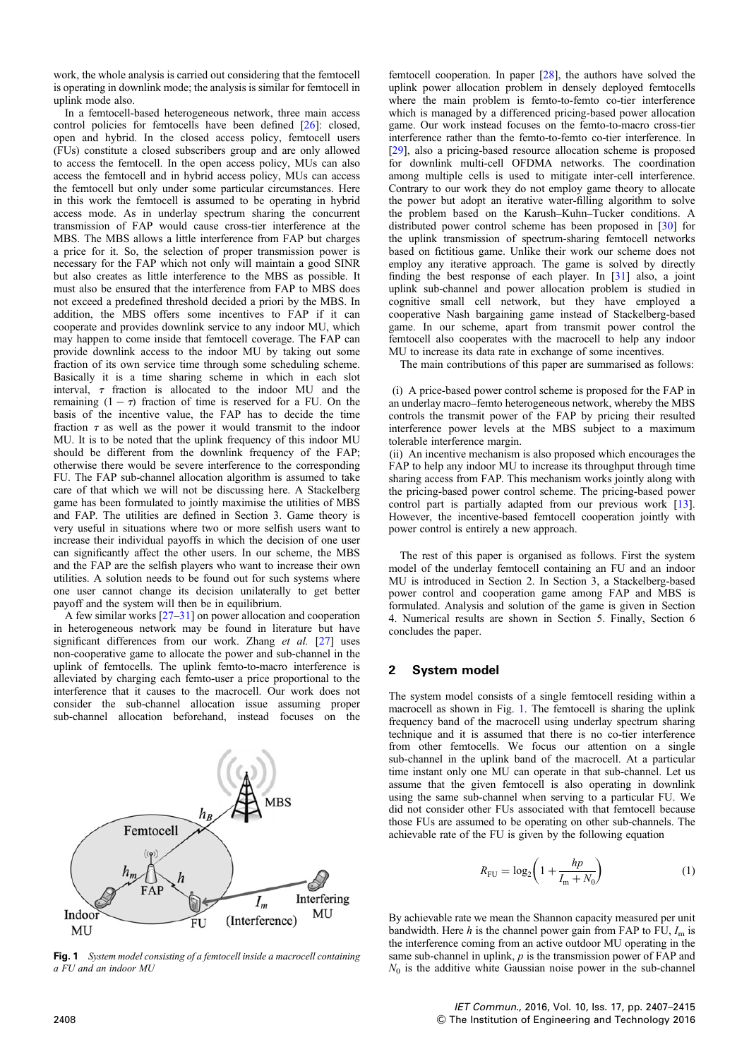work, the whole analysis is carried out considering that the femtocell is operating in downlink mode; the analysis is similar for femtocell in uplink mode also.

In a femtocell-based heterogeneous network, three main access control policies for femtocells have been defined [26]: closed, open and hybrid. In the closed access policy, femtocell users (FUs) constitute a closed subscribers group and are only allowed to access the femtocell. In the open access policy, MUs can also access the femtocell and in hybrid access policy, MUs can access the femtocell but only under some particular circumstances. Here in this work the femtocell is assumed to be operating in hybrid access mode. As in underlay spectrum sharing the concurrent transmission of FAP would cause cross-tier interference at the MBS. The MBS allows a little interference from FAP but charges a price for it. So, the selection of proper transmission power is necessary for the FAP which not only will maintain a good SINR but also creates as little interference to the MBS as possible. It must also be ensured that the interference from FAP to MBS does not exceed a predefined threshold decided a priori by the MBS. In addition, the MBS offers some incentives to FAP if it can cooperate and provides downlink service to any indoor MU, which may happen to come inside that femtocell coverage. The FAP can provide downlink access to the indoor MU by taking out some fraction of its own service time through some scheduling scheme. Basically it is a time sharing scheme in which in each slot interval,  $\tau$  fraction is allocated to the indoor MU and the remaining  $(1 - \tau)$  fraction of time is reserved for a FU. On the basis of the incentive value, the FAP has to decide the time fraction  $\tau$  as well as the power it would transmit to the indoor MU. It is to be noted that the uplink frequency of this indoor MU should be different from the downlink frequency of the FAP; otherwise there would be severe interference to the corresponding FU. The FAP sub-channel allocation algorithm is assumed to take care of that which we will not be discussing here. A Stackelberg game has been formulated to jointly maximise the utilities of MBS and FAP. The utilities are defined in Section 3. Game theory is very useful in situations where two or more selfish users want to increase their individual payoffs in which the decision of one user can significantly affect the other users. In our scheme, the MBS and the FAP are the selfish players who want to increase their own utilities. A solution needs to be found out for such systems where one user cannot change its decision unilaterally to get better payoff and the system will then be in equilibrium.

A few similar works [27–31] on power allocation and cooperation in heterogeneous network may be found in literature but have significant differences from our work. Zhang et al. [27] uses non-cooperative game to allocate the power and sub-channel in the uplink of femtocells. The uplink femto-to-macro interference is alleviated by charging each femto-user a price proportional to the interference that it causes to the macrocell. Our work does not consider the sub-channel allocation issue assuming proper sub-channel allocation beforehand, instead focuses on the



Fig. 1 System model consisting of a femtocell inside a macrocell containing a FU and an indoor MU

femtocell cooperation. In paper [28], the authors have solved the uplink power allocation problem in densely deployed femtocells where the main problem is femto-to-femto co-tier interference which is managed by a differenced pricing-based power allocation game. Our work instead focuses on the femto-to-macro cross-tier interference rather than the femto-to-femto co-tier interference. In [29], also a pricing-based resource allocation scheme is proposed for downlink multi-cell OFDMA networks. The coordination among multiple cells is used to mitigate inter-cell interference. Contrary to our work they do not employ game theory to allocate the power but adopt an iterative water-filling algorithm to solve the problem based on the Karush–Kuhn–Tucker conditions. A distributed power control scheme has been proposed in [30] for the uplink transmission of spectrum-sharing femtocell networks based on fictitious game. Unlike their work our scheme does not employ any iterative approach. The game is solved by directly finding the best response of each player. In [31] also, a joint uplink sub-channel and power allocation problem is studied in cognitive small cell network, but they have employed a cooperative Nash bargaining game instead of Stackelberg-based game. In our scheme, apart from transmit power control the femtocell also cooperates with the macrocell to help any indoor MU to increase its data rate in exchange of some incentives.

The main contributions of this paper are summarised as follows:

(i) A price-based power control scheme is proposed for the FAP in an underlay macro–femto heterogeneous network, whereby the MBS controls the transmit power of the FAP by pricing their resulted interference power levels at the MBS subject to a maximum tolerable interference margin.

(ii) An incentive mechanism is also proposed which encourages the FAP to help any indoor MU to increase its throughput through time sharing access from FAP. This mechanism works jointly along with the pricing-based power control scheme. The pricing-based power control part is partially adapted from our previous work [13]. However, the incentive-based femtocell cooperation jointly with power control is entirely a new approach.

The rest of this paper is organised as follows. First the system model of the underlay femtocell containing an FU and an indoor MU is introduced in Section 2. In Section 3, a Stackelberg-based power control and cooperation game among FAP and MBS is formulated. Analysis and solution of the game is given in Section 4. Numerical results are shown in Section 5. Finally, Section 6 concludes the paper.

# 2 System model

The system model consists of a single femtocell residing within a macrocell as shown in Fig. 1. The femtocell is sharing the uplink frequency band of the macrocell using underlay spectrum sharing technique and it is assumed that there is no co-tier interference from other femtocells. We focus our attention on a single sub-channel in the uplink band of the macrocell. At a particular time instant only one MU can operate in that sub-channel. Let us assume that the given femtocell is also operating in downlink using the same sub-channel when serving to a particular FU. We did not consider other FUs associated with that femtocell because those FUs are assumed to be operating on other sub-channels. The achievable rate of the FU is given by the following equation

$$
R_{\rm FU} = \log_2 \left( 1 + \frac{hp}{I_{\rm m} + N_0} \right) \tag{1}
$$

By achievable rate we mean the Shannon capacity measured per unit bandwidth. Here h is the channel power gain from FAP to FU,  $I_m$  is the interference coming from an active outdoor MU operating in the same sub-channel in uplink,  $p$  is the transmission power of FAP and  $N_0$  is the additive white Gaussian noise power in the sub-channel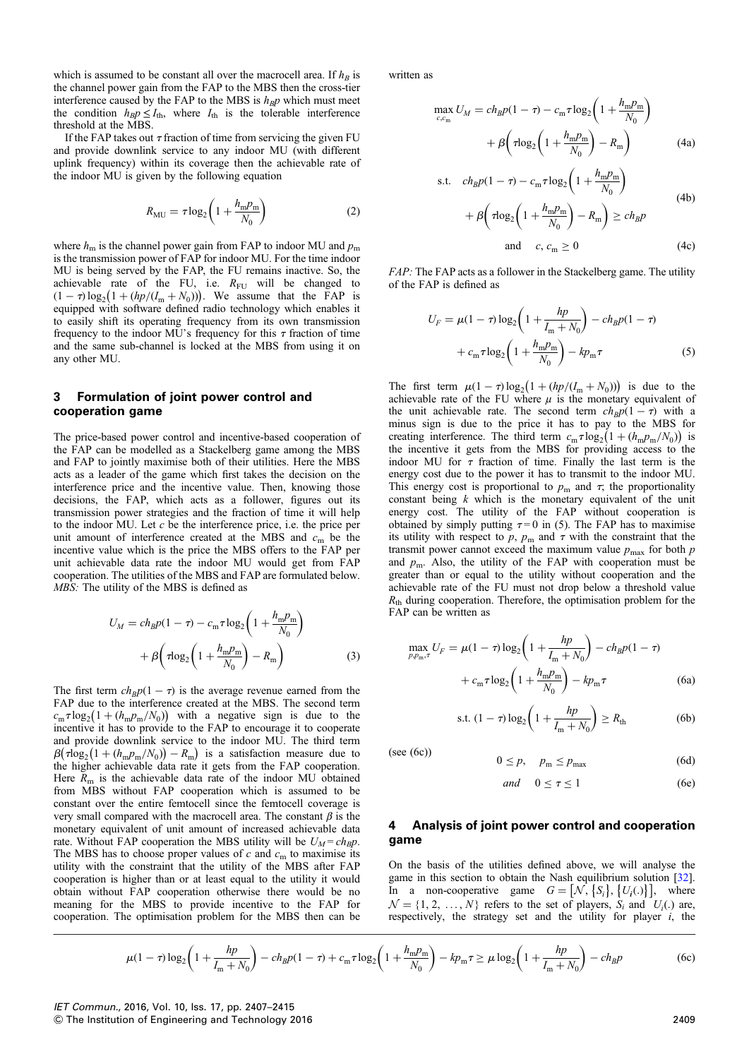which is assumed to be constant all over the macrocell area. If  $h_B$  is the channel power gain from the FAP to the MBS then the cross-tier interference caused by the FAP to the MBS is  $h_{BP}$  which must meet the condition  $h_B p \leq I_{\text{th}}$ , where  $I_{\text{th}}$  is the tolerable interference threshold at the MBS.

If the FAP takes out  $\tau$  fraction of time from servicing the given FU and provide downlink service to any indoor MU (with different uplink frequency) within its coverage then the achievable rate of the indoor MU is given by the following equation

$$
R_{\rm MU} = \tau \log_2 \left( 1 + \frac{h_{\rm m} p_{\rm m}}{N_0} \right) \tag{2}
$$

where  $h_m$  is the channel power gain from FAP to indoor MU and  $p_m$ is the transmission power of FAP for indoor MU. For the time indoor MU is being served by the FAP, the FU remains inactive. So, the achievable rate of the FU, i.e.  $R_{\text{FU}}$  will be changed to  $(1 - \tau) \log_2 (1 + (hp/(I_m + N_0)))$ . We assume that the FAP is equipped with software defined radio technology which enables it to easily shift its operating frequency from its own transmission frequency to the indoor MU's frequency for this  $\tau$  fraction of time and the same sub-channel is locked at the MBS from using it on any other MU.

## 3 Formulation of joint power control and cooperation game

The price-based power control and incentive-based cooperation of the FAP can be modelled as a Stackelberg game among the MBS and FAP to jointly maximise both of their utilities. Here the MBS acts as a leader of the game which first takes the decision on the interference price and the incentive value. Then, knowing those decisions, the FAP, which acts as a follower, figures out its transmission power strategies and the fraction of time it will help to the indoor MU. Let  $c$  be the interference price, i.e. the price per unit amount of interference created at the MBS and  $c<sub>m</sub>$  be the incentive value which is the price the MBS offers to the FAP per unit achievable data rate the indoor MU would get from FAP cooperation. The utilities of the MBS and FAP are formulated below. MBS: The utility of the MBS is defined as

$$
U_M = ch_B p(1 - \tau) - c_m \tau \log_2 \left( 1 + \frac{h_m p_m}{N_0} \right)
$$

$$
+ \beta \left( \tau \log_2 \left( 1 + \frac{h_m p_m}{N_0} \right) - R_m \right) \tag{3}
$$

The first term  $ch_Bp(1 - \tau)$  is the average revenue earned from the FAP due to the interference created at the MBS. The second term  $c_m \tau \log_2 (1 + (h_m p_m/N_0))$  with a negative sign is due to the incentive it has to provide to the FAP to encourage it to cooperate and provide downlink service to the indoor MU. The third term  $\beta(\tau \log_2(1 + (h_m p_m/N_0)) - R_m)$  is a satisfaction measure due to the higher achievable data rate it gets from the FAP cooperation. Here  $R<sub>m</sub>$  is the achievable data rate of the indoor MU obtained from MBS without FAP cooperation which is assumed to be constant over the entire femtocell since the femtocell coverage is very small compared with the macrocell area. The constant  $\beta$  is the monetary equivalent of unit amount of increased achievable data rate. Without FAP cooperation the MBS utility will be  $U_M = ch_B p$ . The MBS has to choose proper values of c and  $c<sub>m</sub>$  to maximise its utility with the constraint that the utility of the MBS after FAP cooperation is higher than or at least equal to the utility it would obtain without FAP cooperation otherwise there would be no meaning for the MBS to provide incentive to the FAP for cooperation. The optimisation problem for the MBS then can be

written as

$$
\max_{c,c_{\rm m}} U_M = ch_B p (1 - \tau) - c_{\rm m} \tau \log_2 \left( 1 + \frac{h_{\rm m} p_{\rm m}}{N_0} \right) + \beta \left( \tau \log_2 \left( 1 + \frac{h_{\rm m} p_{\rm m}}{N_0} \right) - R_{\rm m} \right)
$$
(4a)

s.t. 
$$
ch_B p(1 - \tau) - c_m \tau \log_2 \left( 1 + \frac{h_m p_m}{N_0} \right)
$$
  
  $+ \beta \left( \tau \log_2 \left( 1 + \frac{h_m p_m}{N_0} \right) - R_m \right) \ge ch_B p$   
and  $c, c_m \ge 0$  (4c)

FAP: The FAP acts as a follower in the Stackelberg game. The utility of the FAP is defined as

$$
U_F = \mu (1 - \tau) \log_2 \left( 1 + \frac{hp}{I_m + N_0} \right) - ch_B p (1 - \tau)
$$

$$
+ c_m \tau \log_2 \left( 1 + \frac{h_m p_m}{N_0} \right) - kp_m \tau
$$
(5)

The first term  $\mu (1 - \tau) \log_2 (1 + (hp/(I_m + N_0)))$  is due to the achievable rate of the FU where  $\mu$  is the monetary equivalent of the unit achievable rate. The second term  $ch_Bp(1 - \tau)$  with a minus sign is due to the price it has to pay to the MBS for creating interference. The third term  $c_m \tau \log_2 (1 + (h_m p_m/N_0))$  is the incentive it gets from the MBS for providing access to the indoor MU for  $\tau$  fraction of time. Finally the last term is the energy cost due to the power it has to transmit to the indoor MU. This energy cost is proportional to  $p_m$  and  $\tau$ ; the proportionality constant being  $k$  which is the monetary equivalent of the unit energy cost. The utility of the FAP without cooperation is obtained by simply putting  $\tau = 0$  in (5). The FAP has to maximise its utility with respect to  $p$ ,  $p_m$  and  $\tau$  with the constraint that the transmit power cannot exceed the maximum value  $p_{\text{max}}$  for both p and  $p_m$ . Also, the utility of the FAP with cooperation must be greater than or equal to the utility without cooperation and the achievable rate of the FU must not drop below a threshold value  $R<sub>th</sub>$  during cooperation. Therefore, the optimisation problem for the FAP can be written as

$$
\max_{p, p_{\text{m}}, \tau} U_F = \mu (1 - \tau) \log_2 \left( 1 + \frac{hp}{I_{\text{m}} + N_0} \right) - ch_B p (1 - \tau) + c_{\text{m}} \tau \log_2 \left( 1 + \frac{h_{\text{m}} p_{\text{m}}}{N_0} \right) - kp_{\text{m}} \tau
$$
 (6a)

s.t. 
$$
(1 - \tau) \log_2 \left( 1 + \frac{hp}{I_m + N_0} \right) \ge R_{\text{th}}
$$
 (6b)

(see (6c))  $0 \le p, \quad p_m \le p_{max}$  (6d)

$$
and \quad 0 \le \tau \le 1 \tag{6e}
$$

# 4 Analysis of joint power control and cooperation game

On the basis of the utilities defined above, we will analyse the game in this section to obtain the Nash equilibrium solution [32]. In a non-cooperative game  $G = [\mathcal{N}, \{S_i\}, \{U_i(.)\}]$ , where  $\mathcal{N} = \{1, 2, ..., N\}$  refers to the set of players,  $S_i$  and  $U_i(.)$  are, respectively, the strategy set and the utility for player  $i$ , the

$$
\mu(1-\tau)\log_2\left(1+\frac{hp}{I_m+N_0}\right)-ch_Bp(1-\tau)+c_m\tau\log_2\left(1+\frac{h_m p_m}{N_0}\right)-kp_m\tau\geq \mu\log_2\left(1+\frac{hp}{I_m+N_0}\right)-ch_Bp\tag{6c}
$$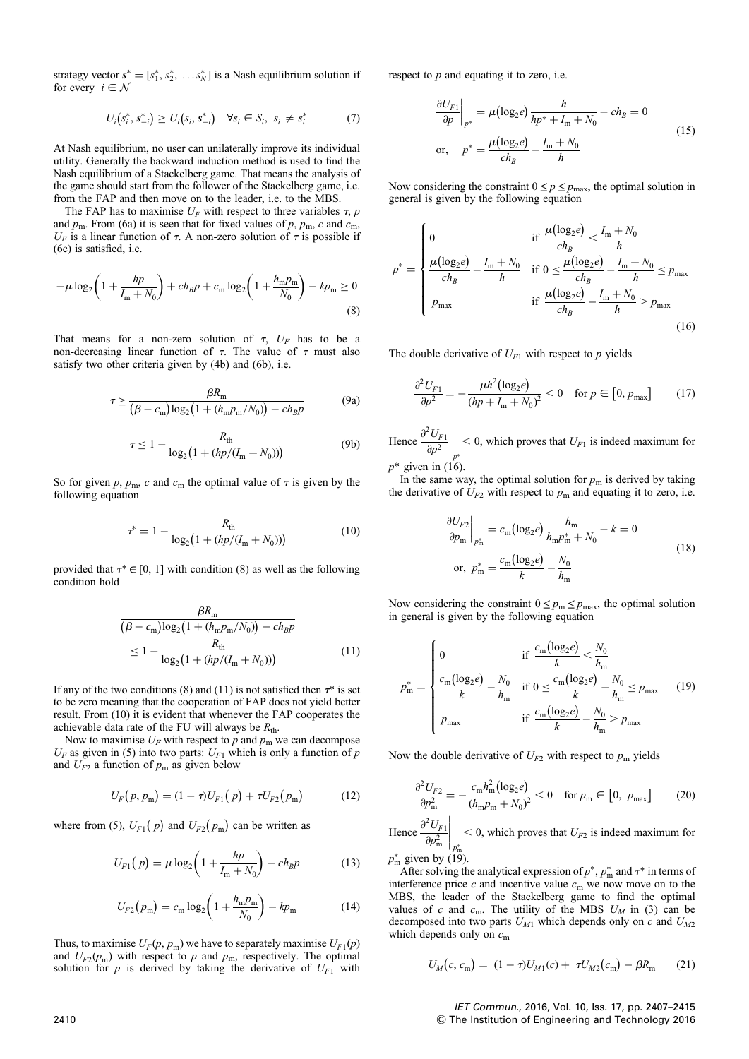strategy vector  $\mathbf{s}^* = [s_1^*, s_2^*, \dots s_N^*]$  is a Nash equilibrium solution if for every  $i \in \mathcal{N}$ 

$$
U_i(s_i^*, s_{-i}^*) \ge U_i(s_i, s_{-i}^*) \quad \forall s_i \in S_i, \ s_i \ne s_i^* \tag{7}
$$

At Nash equilibrium, no user can unilaterally improve its individual utility. Generally the backward induction method is used to find the Nash equilibrium of a Stackelberg game. That means the analysis of the game should start from the follower of the Stackelberg game, i.e. from the FAP and then move on to the leader, i.e. to the MBS.

The FAP has to maximise  $U_F$  with respect to three variables  $\tau$ , p and  $p_m$ . From (6a) it is seen that for fixed values of p,  $p_m$ , c and  $c_m$ ,  $U_F$  is a linear function of  $\tau$ . A non-zero solution of  $\tau$  is possible if (6c) is satisfied, i.e.

$$
-\mu \log_2 \left( 1 + \frac{hp}{I_m + N_0} \right) + ch_B p + c_m \log_2 \left( 1 + \frac{h_m p_m}{N_0} \right) - kp_m \ge 0
$$
\n(8)

That means for a non-zero solution of  $\tau$ ,  $U_F$  has to be a non-decreasing linear function of  $\tau$ . The value of  $\tau$  must also satisfy two other criteria given by (4b) and (6b), i.e.

$$
\tau \ge \frac{\beta R_{\rm m}}{\left(\beta - c_{\rm m}\right) \log_2\left(1 + \left(h_{\rm m} p_{\rm m}/N_0\right)\right) - ch_B p} \tag{9a}
$$

$$
\tau \le 1 - \frac{R_{\text{th}}}{\log_2\left(1 + (hp/(I_{\text{m}} + N_0))\right)} \tag{9b}
$$

So for given p,  $p_m$ , c and  $c_m$  the optimal value of  $\tau$  is given by the following equation

$$
\tau^* = 1 - \frac{R_{\text{th}}}{\log_2\left(1 + \left(hp/(I_{\text{m}} + N_0)\right)\right)}\tag{10}
$$

provided that  $\tau^* \in [0, 1]$  with condition (8) as well as the following condition hold

$$
\frac{\beta R_{\text{m}}}{(\beta - c_{\text{m}})\log_2(1 + (h_{\text{m}}p_{\text{m}}/N_0)) - ch_B p}
$$
  
\n
$$
\leq 1 - \frac{R_{\text{th}}}{\log_2(1 + (hp/(I_{\text{m}} + N_0)))}
$$
(11)

If any of the two conditions (8) and (11) is not satisfied then  $\tau^*$  is set to be zero meaning that the cooperation of FAP does not yield better result. From (10) it is evident that whenever the FAP cooperates the achievable data rate of the FU will always be  $R_{th}$ .

Now to maximise  $U_F$  with respect to p and  $p_m$  we can decompose  $U_F$  as given in (5) into two parts:  $U_{F1}$  which is only a function of p and  $U_{F2}$  a function of  $p<sub>m</sub>$  as given below

$$
U_F(p, p_m) = (1 - \tau)U_{F1}(p) + \tau U_{F2}(p_m) \tag{12}
$$

where from (5),  $U_{F1}(p)$  and  $U_{F2}(p_m)$  can be written as

$$
U_{F1}(p) = \mu \log_2 \left( 1 + \frac{hp}{I_m + N_0} \right) - ch_B p \tag{13}
$$

$$
U_{F2}(p_m) = c_m \log_2 \left( 1 + \frac{h_m p_m}{N_0} \right) - k p_m \tag{14}
$$

Thus, to maximise  $U_F(p, p_m)$  we have to separately maximise  $U_{F1}(p)$ and  $U_{F2}(p_m)$  with respect to p and  $p_m$ , respectively. The optimal solution for p is derived by taking the derivative of  $U_{F1}$  with

respect to  $p$  and equating it to zero, i.e.

$$
\frac{\partial U_{F1}}{\partial p}\Big|_{p^*} = \mu(\log_2 e) \frac{h}{hp^* + I_m + N_0} - ch_B = 0
$$
  
or, 
$$
p^* = \frac{\mu(\log_2 e)}{ch_B} - \frac{I_m + N_0}{h}
$$
 (15)

Now considering the constraint  $0 \le p \le p_{\text{max}}$ , the optimal solution in general is given by the following equation

$$
p^* = \begin{cases} 0 & \text{if } \frac{\mu(\log_2 e)}{ch_B} < \frac{I_m + N_0}{h} \\ \frac{\mu(\log_2 e)}{ch_B} - \frac{I_m + N_0}{h} & \text{if } 0 \le \frac{\mu(\log_2 e)}{ch_B} - \frac{I_m + N_0}{h} \le p_{\text{max}} \\ p_{\text{max}} & \text{if } \frac{\mu(\log_2 e)}{ch_B} - \frac{I_m + N_0}{h} > p_{\text{max}} \end{cases}
$$
(16)

The double derivative of  $U_{F1}$  with respect to p yields

$$
\frac{\partial^2 U_{F1}}{\partial p^2} = -\frac{\mu h^2 (\log_2 e)}{(hp + I_m + N_0)^2} < 0 \quad \text{for } p \in [0, p_{\max}] \tag{17}
$$

Hence  $\frac{\partial^2 U_{F1}}{\partial x^2}$  $\partial p^2$  $\Bigg|_{p^*}$  $<$  0, which proves that  $U_{F1}$  is indeed maximum for  $p^*$  given in (16).

In the same way, the optimal solution for  $p<sub>m</sub>$  is derived by taking the derivative of  $U_{F2}$  with respect to  $p_m$  and equating it to zero, i.e.

$$
\frac{\partial U_{F2}}{\partial p_{\rm m}}\bigg|_{p_{\rm m}^*} = c_{\rm m} (\log_2 e) \frac{h_{\rm m}}{h_{\rm m} p_{\rm m}^* + N_0} - k = 0
$$
\nor,  $p_{\rm m}^* = \frac{c_{\rm m} (\log_2 e)}{k} - \frac{N_0}{h_{\rm m}}$  (18)

Now considering the constraint  $0 \le p_m \le p_{\text{max}}$ , the optimal solution in general is given by the following equation

$$
p_{\rm m}^{*} = \begin{cases} 0 & \text{if } \frac{c_{\rm m}(\log_{2}e)}{k} < \frac{N_{0}}{h_{\rm m}} \\ \frac{c_{\rm m}(\log_{2}e)}{k} - \frac{N_{0}}{h_{\rm m}} & \text{if } 0 \le \frac{c_{\rm m}(\log_{2}e)}{k} - \frac{N_{0}}{h_{\rm m}} \le p_{\rm max} \\ p_{\rm max} & \text{if } \frac{c_{\rm m}(\log_{2}e)}{k} - \frac{N_{0}}{h_{\rm m}} > p_{\rm max} \end{cases}
$$
(19)

Now the double derivative of  $U_{F2}$  with respect to  $p_m$  yields

$$
\frac{\partial^2 U_{F2}}{\partial p_m^2} = -\frac{c_m h_m^2 (\log_2 e)}{(h_m p_m + N_0)^2} < 0 \quad \text{for } p_m \in [0, \ p_{\text{max}}]
$$
 (20)

Hence  $\frac{\partial^2 U_{F1}}{\partial x^2}$  $\partial p_m^2$  $\bigg|_{p^*_\mathfrak{m}}$  $<$  0, which proves that  $U_{F2}$  is indeed maximum for  $p_{\rm m}^*$  given by (19).

After solving the analytical expression of  $p^*$ ,  $p_m^*$  and  $\tau^*$  in terms of interference price  $c$  and incentive value  $c<sub>m</sub>$  we now move on to the MBS, the leader of the Stackelberg game to find the optimal values of c and  $c_m$ . The utility of the MBS  $U_M$  in (3) can be decomposed into two parts  $U_{M1}$  which depends only on c and  $U_{M2}$ which depends only on  $c<sub>m</sub>$ 

$$
U_M(c, c_m) = (1 - \tau)U_{M1}(c) + \tau U_{M2}(c_m) - \beta R_m \qquad (21)
$$

IET Commun., 2016, Vol. 10, Iss. 17, pp. 2407–2415 2410 & The Institution of Engineering and Technology 2016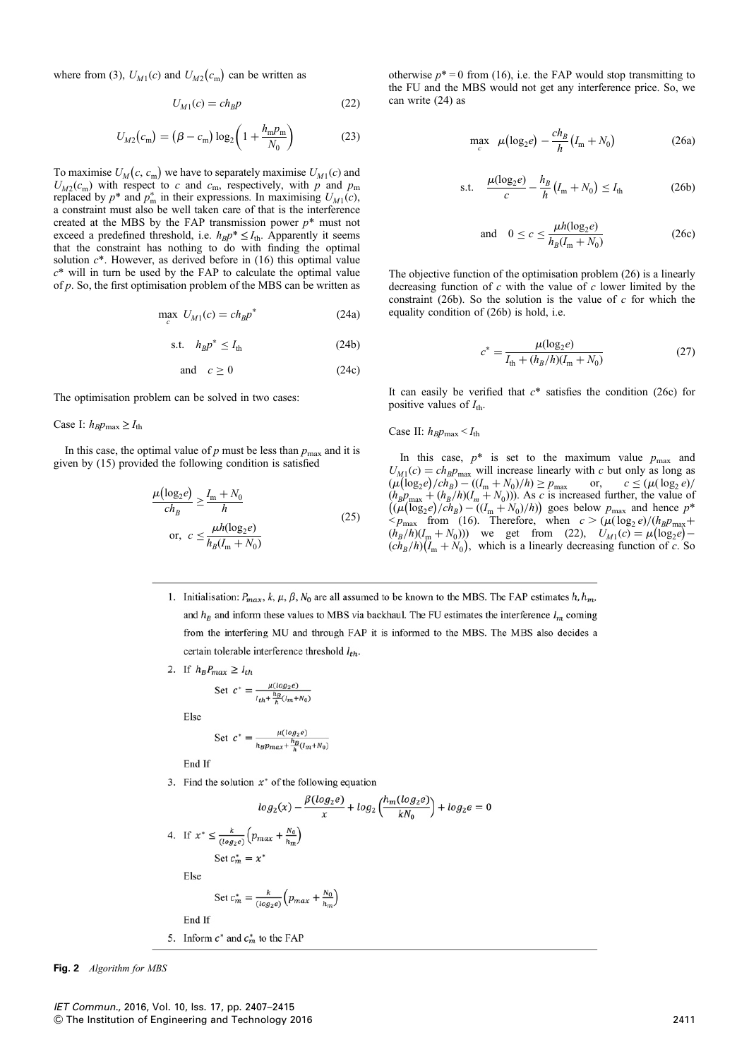where from (3),  $U_{M1}(c)$  and  $U_{M2}(c_m)$  can be written as

$$
U_{M1}(c) = ch_B p \tag{22}
$$

$$
U_{M2}(c_{\rm m}) = (\beta - c_{\rm m}) \log_2 \left( 1 + \frac{h_{\rm m} p_{\rm m}}{N_0} \right)
$$
 (23)

To maximise  $U_M(c, c_m)$  we have to separately maximise  $U_{M1}(c)$  and  $U_{M2}(c_{\rm m})$  with respect to c and c<sub>m</sub>, respectively, with p and p<sub>m</sub> replaced by  $p^*$  and  $p^*_{m}$  in their expressions. In maximising  $U_{M1}(c)$ , a constraint must also be well taken care of that is the interference created at the MBS by the FAP transmission power  $p^*$  must not exceed a predefined threshold, i.e.  $h_B p^* \leq I_{\text{th}}$ . Apparently it seems that the constraint has nothing to do with finding the optimal solution  $c^*$ . However, as derived before in (16) this optimal value  $c^*$  will in turn be used by the FAP to calculate the optimal value of  $p$ . So, the first optimisation problem of the MBS can be written as

$$
\max_{c} U_{M1}(c) = ch_B p^*
$$
 (24a)

$$
\text{s.t.} \quad h_B p^* \le I_{\text{th}} \tag{24b}
$$

and 
$$
c \ge 0
$$
 (24c)

The optimisation problem can be solved in two cases:

Case I:  $h_B p_{\text{max}} \ge I_{\text{th}}$ 

In this case, the optimal value of p must be less than  $p_{\text{max}}$  and it is given by (15) provided the following condition is satisfied

$$
\frac{\mu(\log_2 e)}{ch_B} \ge \frac{I_m + N_0}{h}
$$
\n
$$
\text{or, } c \le \frac{\mu h(\log_2 e)}{h_B(I_m + N_0)}\tag{25}
$$

otherwise  $p^* = 0$  from (16), i.e. the FAP would stop transmitting to the FU and the MBS would not get any interference price. So, we can write (24) as

$$
\max_{c} \ \mu(\log_2 e) - \frac{ch_B}{h}(I_m + N_0) \tag{26a}
$$

s.t. 
$$
\frac{\mu(\log_2 e)}{c} - \frac{h_B}{h} (I_m + N_0) \le I_{\text{th}}
$$
 (26b)

and 
$$
0 \le c \le \frac{\mu h(\log_2 e)}{h_B(I_m + N_0)}
$$
 (26c)

The objective function of the optimisation problem (26) is a linearly decreasing function of  $c$  with the value of  $c$  lower limited by the constraint (26b). So the solution is the value of  $c$  for which the equality condition of (26b) is hold, i.e.

$$
c^* = \frac{\mu(\log_2 e)}{I_{\text{th}} + (h_B/h)(I_{\text{m}} + N_0)}
$$
(27)

It can easily be verified that  $c^*$  satisfies the condition (26c) for positive values of  $I_{\text{th}}$ .

Case II: 
$$
h_B p_{\text{max}} < I_{\text{th}}
$$

In this case,  $p^*$  is set to the maximum value  $p_{\text{max}}$  and  $U_{M,1}(c) = ch_B p_{\text{max}}$  will increase linearly with c but only as long as  $(\mu (\log_2 e) / ch_B) - ((I_m + N_0)/h) \ge p_{\max}$  or,  $c \le (\mu (\log_2 e) /$  $(h_B p_{\text{max}} + (h_B/h)(I_m + N_0))$ . As c is increased further, the value of  $((\mu(\log_2 e)/ch_B) - ((I_m + N_0)/h))$  goes below  $p_{\max}$  and hence  $p^*$  $\leq p_{\text{max}}$  from (16). Therefore, when  $c > (\mu(\log_2 e)/(\hbar_B p_{\text{max}}+$  $(h_B/h)(I_m + N_0))$  we get from (22),  $U_{M1}(c) = \mu(\log_2 e)$  $(ch_B/h)(I_m + N_0)$ , which is a linearly decreasing function of c. So

1. Initialisation:  $P_{max}$ , k,  $\mu$ ,  $\beta$ ,  $N_0$  are all assumed to be known to the MBS. The FAP estimates  $h$ ,  $h_m$ . and  $h_p$  and inform these values to MBS via backhaul. The FU estimates the interference  $I_m$  coming from the interfering MU and through FAP it is informed to the MBS. The MBS also decides a certain tolerable interference threshold  $I_{th}$ .

2. If  $h_B P_{max} \geq I_{th}$ 

Set 
$$
c^* = \frac{\mu(\log_2 e)}{I_{th} + \frac{h_B}{h}(I_m + N_0)}
$$

Else

Set 
$$
c^* = \frac{\mu(\log_2 e)}{h_B p_{max} + \frac{h_B}{h}(I_m + N_0)}
$$

End If

3. Find the solution  $x^*$  of the following equation

$$
log_2(x) - \frac{\beta(log_2e)}{x} + log_2\left(\frac{h_m(log_2e)}{kN_0}\right) + log_2e = 0
$$
  
4. If  $x^* \le \frac{k}{(log_2e)}\left(p_{max} + \frac{N_0}{h_m}\right)$   
Set  $c_m^* = x^*$ 

Else

Set 
$$
c_m^* = \frac{k}{(\log_2 e)} \left( p_{max} + \frac{N_0}{h_m} \right)
$$

End If

5. Inform  $c^*$  and  $c_m^*$  to the FAP

Fig. 2 Algorithm for MBS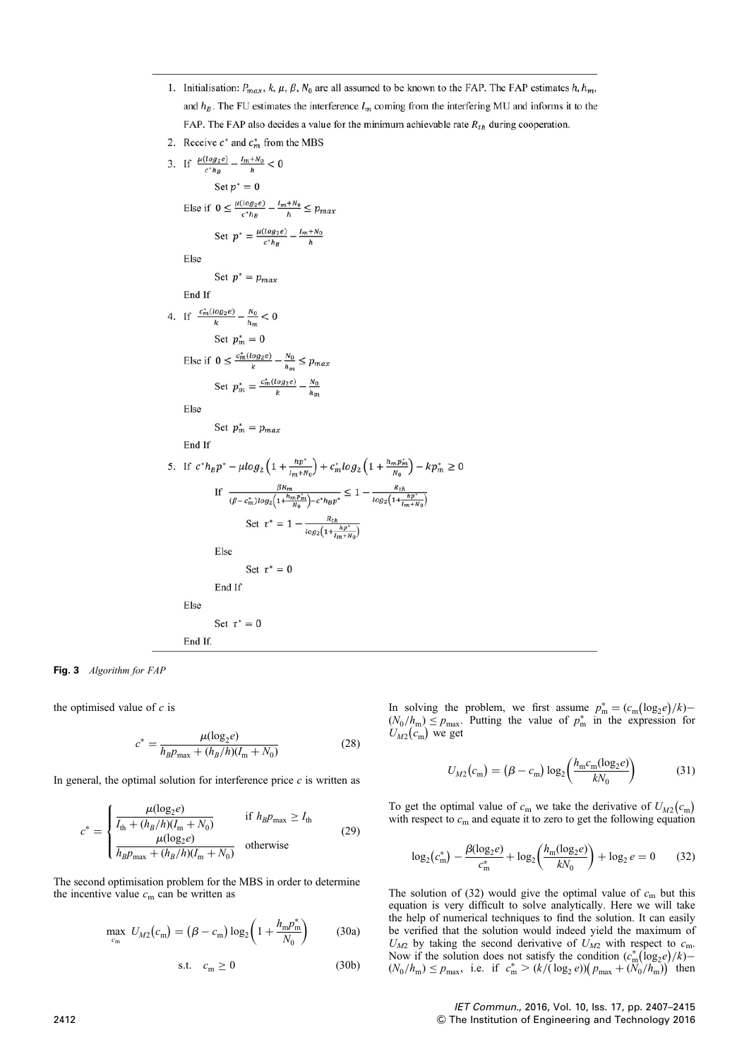- 1. Initialisation:  $P_{max}$ , k,  $\mu$ ,  $\beta$ ,  $N_0$  are all assumed to be known to the FAP. The FAP estimates h,  $h_m$ , and  $h_R$ . The FU estimates the interference  $I_m$  coming from the interfering MU and informs it to the FAP. The FAP also decides a value for the minimum achievable rate  $R_{th}$  during cooperation.
- 2. Receive  $c^*$  and  $c_m^*$  from the MBS

3. If  $\frac{\mu(log_2e)}{c^*h_B} - \frac{l_m+N_0}{h} < 0$ Set  $p^* = 0$ Else if  $0 \le \frac{\mu(\log_2 e)}{c^* h_B} - \frac{l_m + N_0}{h} \le p_{max}$ Set  $p^* = \frac{\mu(\log_2 e)}{c^* h_B} - \frac{l_m + N_0}{h}$ Else Set  $p^* = p_{max}$ End If 4. If  $\frac{c_m^*(log_2 e)}{k} - \frac{N_0}{h_m} < 0$ Set  $p_m^* = 0$ Else if  $0 \le \frac{c_m^*(log_2 e)}{k} - \frac{N_0}{h_m} \le p_{max}$ Set  $p_m^* = \frac{c_m^*(log_2 e)}{k} - \frac{N_0}{h_m}$ Else Set  $p_m^* = p_{max}$ End If 5. If  $c^*h_B p^* - \mu \log_2 \left(1 + \frac{hp^*}{l_m + N_0}\right) + c_m^* \log_2 \left(1 + \frac{h_m p_m^*}{N_0}\right) - k p_m^* \ge 0$  $\text{If } \ \frac{\beta R_m}{(\beta - c_m^*)log_2\Big(1 + \frac{h_m p_m^*}{N_0}\Big) - c^* h_B p^*} \leq 1 - \frac{R_{th}}{log_2\Big(1 + \frac{h p^*}{I_m + N_0}\Big)}$ Set  $\tau^* = 1 - \frac{R_{th}}{\log_2(1 + \frac{hp^*}{Im + N_0})}$ Else Set  $\tau^* = 0$ End If Else Set  $\tau^* = 0$ 

Fig. 3 Algorithm for FAP

the optimised value of  $c$  is

$$
c^* = \frac{\mu(\log_2 e)}{h_B p_{\max} + (h_B/h)(I_m + N_0)}
$$
(28)

In general, the optimal solution for interference price  $c$  is written as

End If.

$$
c^* = \begin{cases} \frac{\mu(\log_2 e)}{I_{\text{th}} + (h_B/h)(I_{\text{m}} + N_0)} & \text{if } h_B p_{\text{max}} \ge I_{\text{th}}\\ \frac{\mu(\log_2 e)}{h_B p_{\text{max}} + (h_B/h)(I_{\text{m}} + N_0)} & \text{otherwise} \end{cases}
$$
(29)

The second optimisation problem for the MBS in order to determine the incentive value  $c_m$  can be written as

$$
\max_{c_m} U_{M2}(c_m) = (\beta - c_m) \log_2 \left( 1 + \frac{h_m p_m^*}{N_0} \right) \tag{30a}
$$

$$
\text{s.t.} \quad c_{\text{m}} \ge 0 \tag{30b}
$$

In solving the problem, we first assume  $p_m^* = (c_m (\log_2 e)/k)$  $(N_0/h_m) \le p_{\text{max}}$ . Putting the value of  $p_m^*$  in the expression for  $U_{M2}(c_{\rm m})$  we get

$$
U_{M2}(c_{\rm m}) = (\beta - c_{\rm m}) \log_2 \left( \frac{h_{\rm m} c_{\rm m} (\log_2 e)}{k N_0} \right) \tag{31}
$$

To get the optimal value of  $c_m$  we take the derivative of  $U_{M2}(c_m)$ with respect to  $c_m$  and equate it to zero to get the following equation

$$
\log_2(e_m^*) - \frac{\beta(\log_2 e)}{e_m^*} + \log_2\left(\frac{h_m(\log_2 e)}{kN_0}\right) + \log_2 e = 0 \tag{32}
$$

The solution of (32) would give the optimal value of  $c<sub>m</sub>$  but this equation is very difficult to solve analytically. Here we will take the help of numerical techniques to find the solution. It can easily be verified that the solution would indeed yield the maximum of  $U_{M2}$  by taking the second derivative of  $U_{M2}$  with respect to  $c_{\rm m}$ . Now if the solution does not satisfy the condition  $(c_m^*(\log_2 e)/k)$ –  $(N_0/h_m) \le p_{\text{max}}$ , i.e. if  $c_m^* > (k/(\log_2 e)) (p_{\text{max}} + (N_0/h_m))$  then

IET Commun., 2016, Vol. 10, Iss. 17, pp. 2407–2415 2412 & The Institution of Engineering and Technology 2016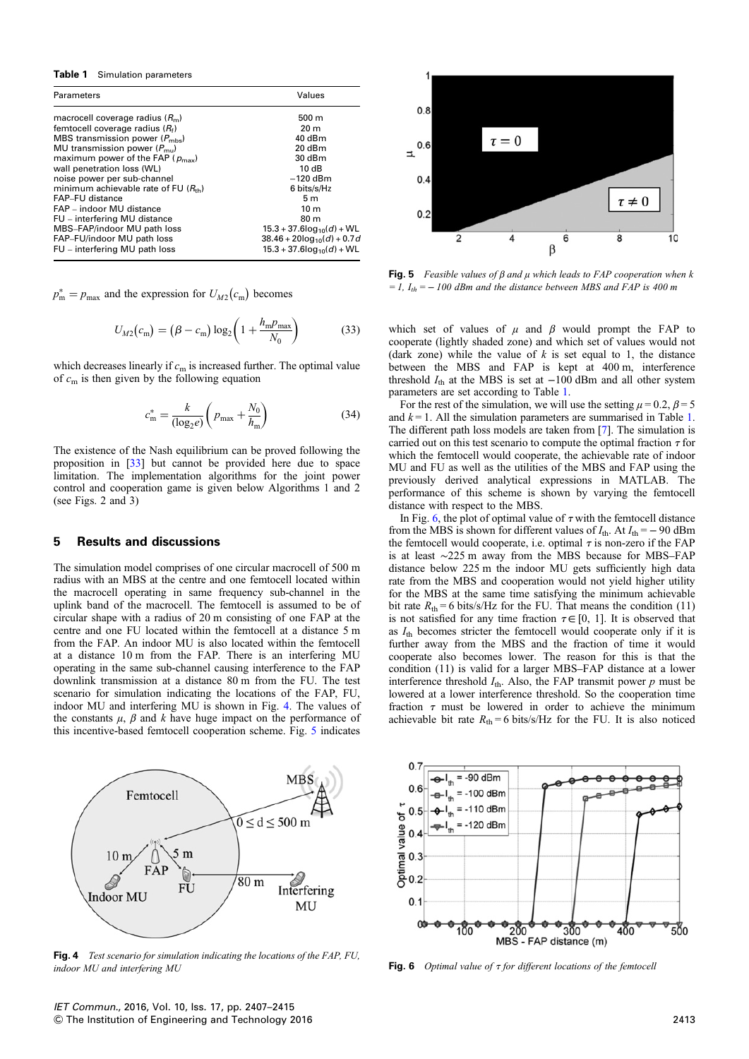#### Table 1 Simulation parameters

| Parameters                                    | Values                                     |
|-----------------------------------------------|--------------------------------------------|
| macrocell coverage radius $(Rm)$              | $500 \text{ m}$                            |
| femtocell coverage radius $(R_f)$             | 20 <sub>m</sub>                            |
| MBS transmission power $(P_{\text{mbs}})$     | 40 dBm                                     |
| MU transmission power $(P_{\text{mu}})$       | 20 dBm                                     |
| maximum power of the FAP ( $p_{\text{max}}$ ) | $30$ dBm                                   |
| wall penetration loss (WL)                    | 10dB                                       |
| noise power per sub-channel                   | $-120$ dBm                                 |
| minimum achievable rate of FU $(R_{th})$      | 6 bits/s/Hz                                |
| FAP-FU distance                               | 5 <sub>m</sub>                             |
| FAP - indoor MU distance                      | 10 <sub>m</sub>                            |
| FU – interfering MU distance                  | 80 <sub>m</sub>                            |
| MBS-FAP/indoor MU path loss                   | $15.3 + 37.6$ log <sub>10</sub> $(d) + WL$ |
| FAP-FU/indoor MU path loss                    | $38.46 + 20\log_{10}(d) + 0.7a$            |
| FU – interfering MU path loss                 | $15.3 + 37.6 \log_{10}(d) + \text{WL}$     |

 $p_{\text{m}}^* = p_{\text{max}}$  and the expression for  $U_{M2}(c_{\text{m}})$  becomes

$$
U_{M2}(c_{\rm m}) = (\beta - c_{\rm m}) \log_2 \left( 1 + \frac{h_{\rm m} p_{\rm max}}{N_0} \right)
$$
 (33)

which decreases linearly if  $c<sub>m</sub>$  is increased further. The optimal value of  $c_m$  is then given by the following equation

$$
c_{\rm m}^* = \frac{k}{(\log_2 e)} \left( p_{\rm max} + \frac{N_0}{h_{\rm m}} \right) \tag{34}
$$

The existence of the Nash equilibrium can be proved following the proposition in [33] but cannot be provided here due to space limitation. The implementation algorithms for the joint power control and cooperation game is given below Algorithms 1 and 2 (see Figs. 2 and 3)

## 5 Results and discussions

The simulation model comprises of one circular macrocell of 500 m radius with an MBS at the centre and one femtocell located within the macrocell operating in same frequency sub-channel in the uplink band of the macrocell. The femtocell is assumed to be of circular shape with a radius of 20 m consisting of one FAP at the centre and one FU located within the femtocell at a distance 5 m from the FAP. An indoor MU is also located within the femtocell at a distance 10 m from the FAP. There is an interfering MU operating in the same sub-channel causing interference to the FAP downlink transmission at a distance 80 m from the FU. The test scenario for simulation indicating the locations of the FAP, FU, indoor MU and interfering MU is shown in Fig. 4. The values of the constants  $\mu$ ,  $\beta$  and k have huge impact on the performance of this incentive-based femtocell cooperation scheme. Fig. 5 indicates



Fig. 4 Test scenario for simulation indicating the locations of the FAP, FU, indoor MU and interfering MU



Fig. 5 Feasible values of  $\beta$  and  $\mu$  which leads to FAP cooperation when k  $= 1$ ,  $I_{th} = -100$  dBm and the distance between MBS and FAP is 400 m

which set of values of  $\mu$  and  $\beta$  would prompt the FAP to cooperate (lightly shaded zone) and which set of values would not (dark zone) while the value of  $k$  is set equal to 1, the distance between the MBS and FAP is kept at 400 m, interference threshold  $I_{\text{th}}$  at the MBS is set at  $-100$  dBm and all other system parameters are set according to Table 1.

For the rest of the simulation, we will use the setting  $\mu = 0.2$ ,  $\beta = 5$ and  $k = 1$ . All the simulation parameters are summarised in Table 1. The different path loss models are taken from [7]. The simulation is carried out on this test scenario to compute the optimal fraction  $\tau$  for which the femtocell would cooperate, the achievable rate of indoor MU and FU as well as the utilities of the MBS and FAP using the previously derived analytical expressions in MATLAB. The performance of this scheme is shown by varying the femtocell distance with respect to the MBS.

In Fig. 6, the plot of optimal value of  $\tau$  with the femtocell distance from the MBS is shown for different values of  $I_{\text{th}}$ . At  $I_{\text{th}} = -90$  dBm the femtocell would cooperate, i.e. optimal  $\tau$  is non-zero if the FAP is at least ∼225 m away from the MBS because for MBS–FAP distance below 225 m the indoor MU gets sufficiently high data rate from the MBS and cooperation would not yield higher utility for the MBS at the same time satisfying the minimum achievable bit rate  $R_{\text{th}} = 6$  bits/s/Hz for the FU. That means the condition (11) is not satisfied for any time fraction  $\tau \in [0, 1]$ . It is observed that as  $I_{\text{th}}$  becomes stricter the femtocell would cooperate only if it is further away from the MBS and the fraction of time it would cooperate also becomes lower. The reason for this is that the condition (11) is valid for a larger MBS–FAP distance at a lower interference threshold  $I_{\text{th}}$ . Also, the FAP transmit power p must be lowered at a lower interference threshold. So the cooperation time fraction  $\tau$  must be lowered in order to achieve the minimum achievable bit rate  $R_{\text{th}} = 6$  bits/s/Hz for the FU. It is also noticed



Fig. 6 Optimal value of  $\tau$  for different locations of the femtocell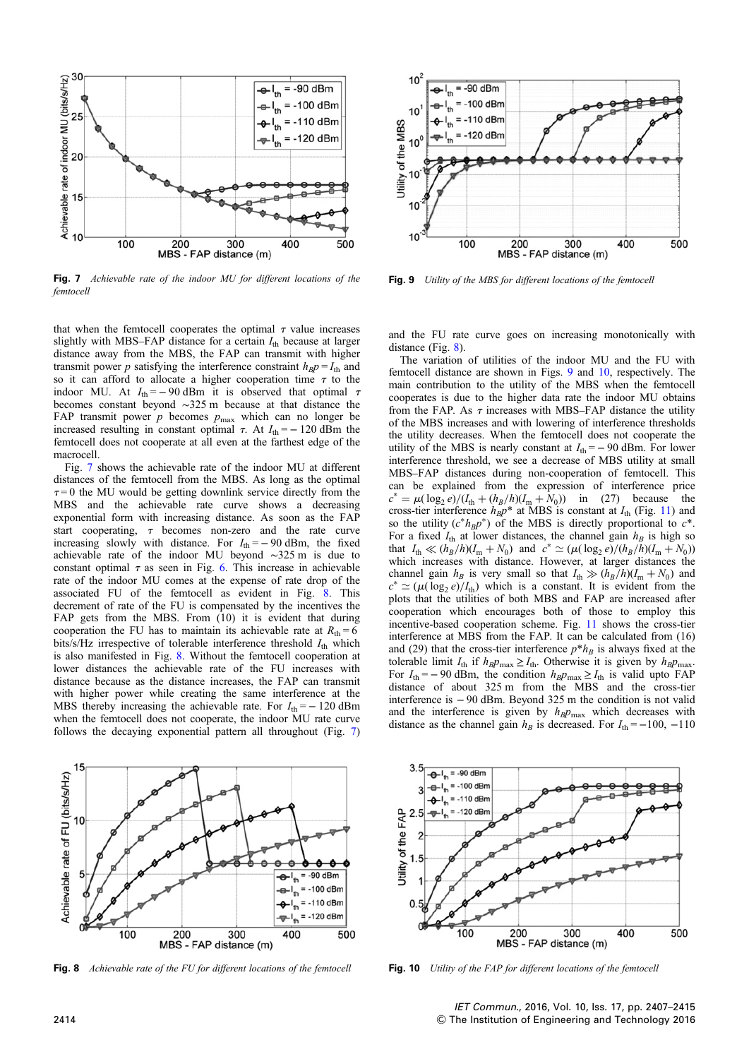

Fig. 7 Achievable rate of the indoor MU for different locations of the femtocell

that when the femtocell cooperates the optimal  $\tau$  value increases slightly with MBS–FAP distance for a certain  $I_{\text{th}}$  because at larger distance away from the MBS, the FAP can transmit with higher transmit power p satisfying the interference constraint  $h_B p = I_{th}$  and so it can afford to allocate a higher cooperation time  $\tau$  to the indoor MU. At  $I_{\text{th}} = -90$  dBm it is observed that optimal  $\tau$ becomes constant beyond ∼325 m because at that distance the FAP transmit power  $p$  becomes  $p_{\text{max}}$  which can no longer be increased resulting in constant optimal  $\tau$ . At  $I_{\text{th}} = -120$  dBm the femtocell does not cooperate at all even at the farthest edge of the macrocell.

Fig. 7 shows the achievable rate of the indoor MU at different distances of the femtocell from the MBS. As long as the optimal  $\tau = 0$  the MU would be getting downlink service directly from the MBS and the achievable rate curve shows a decreasing exponential form with increasing distance. As soon as the FAP start cooperating,  $\tau$  becomes non-zero and the rate curve increasing slowly with distance. For  $I_{\text{th}} = -90$  dBm, the fixed achievable rate of the indoor MU beyond ∼325 m is due to constant optimal  $\tau$  as seen in Fig. 6. This increase in achievable rate of the indoor MU comes at the expense of rate drop of the associated FU of the femtocell as evident in Fig. 8. This decrement of rate of the FU is compensated by the incentives the FAP gets from the MBS. From (10) it is evident that during cooperation the FU has to maintain its achievable rate at  $R_{\text{th}} = 6$ bits/s/Hz irrespective of tolerable interference threshold  $I_{th}$  which is also manifested in Fig. 8. Without the femtocell cooperation at lower distances the achievable rate of the FU increases with distance because as the distance increases, the FAP can transmit with higher power while creating the same interference at the MBS thereby increasing the achievable rate. For  $I_{\text{th}} = -120$  dBm when the femtocell does not cooperate, the indoor MU rate curve follows the decaying exponential pattern all throughout (Fig. 7)



Fig. 8 Achievable rate of the FU for different locations of the femtocell



Fig. 9 Utility of the MBS for different locations of the femtocell

and the FU rate curve goes on increasing monotonically with distance (Fig. 8).

The variation of utilities of the indoor MU and the FU with femtocell distance are shown in Figs. 9 and 10, respectively. The main contribution to the utility of the MBS when the femtocell cooperates is due to the higher data rate the indoor MU obtains from the FAP. As  $\tau$  increases with MBS–FAP distance the utility of the MBS increases and with lowering of interference thresholds the utility decreases. When the femtocell does not cooperate the utility of the MBS is nearly constant at  $I_{\text{th}} = -90$  dBm. For lower interference threshold, we see a decrease of MBS utility at small MBS–FAP distances during non-cooperation of femtocell. This can be explained from the expression of interference price  $c^* = \mu(\log_2 e)/(I_{\text{th}} + (h_B/h)(I_{\text{m}} + N_0))$  in (27) because the cross-tier interference  $h_{\rm B}p^*$  at MBS is constant at  $I_{\rm th}$  (Fig. 11) and so the utility  $(c^*h_Bp^*)$  of the MBS is directly proportional to  $c^*$ . For a fixed  $I_{\text{th}}$  at lower distances, the channel gain  $h_B$  is high so that  $I_{\text{th}} \ll (h_B/h)(I_{\text{m}} + N_0)$  and  $c^* \simeq (\mu(\log_2 e)/(h_B/h)(I_{\text{m}} + N_0))$ which increases with distance. However, at larger distances the channel gain  $h_B$  is very small so that  $I_{\text{th}} \gg (h_B/h)(I_{\text{m}} + N_0)$  and  $c^* \simeq (\mu(\log_2 e)/I_{th})$  which is a constant. It is evident from the plots that the utilities of both MBS and FAP are increased after cooperation which encourages both of those to employ this incentive-based cooperation scheme. Fig. 11 shows the cross-tier interference at MBS from the FAP. It can be calculated from (16) and (29) that the cross-tier interference  $p^*h_B$  is always fixed at the tolerable limit  $I_{\text{th}}$  if  $h_B p_{\text{max}} \geq I_{\text{th}}$ . Otherwise it is given by  $h_B p_{\text{max}}$ . For  $I_{\text{th}} = -90$  dBm, the condition  $h_B p_{\text{max}} \ge I_{\text{th}}$  is valid upto FAP distance of about 325 m from the MBS and the cross-tier interference is − 90 dBm. Beyond 325 m the condition is not valid and the interference is given by  $h_B p_{\text{max}}$  which decreases with distance as the channel gain  $h_B$  is decreased. For  $I_{\text{th}} = -100, -110$ 



Fig. 10 Utility of the FAP for different locations of the femtocell